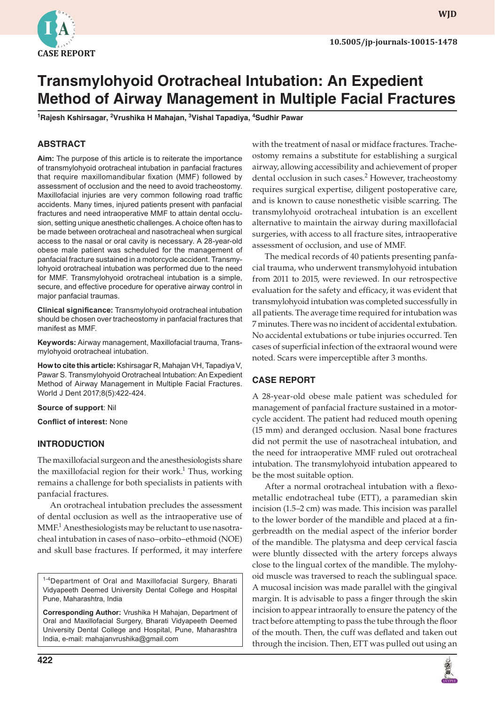

# **Transmylohyoid Orotracheal Intubation: An Expedient Method of Airway Management in Multiple Facial Fractures**

**1 Rajesh Kshirsagar, <sup>2</sup> Vrushika H Mahajan, 3 Vishal Tapadiya, 4 Sudhir Pawar**

## **ABSTRACT**

**Aim:** The purpose of this article is to reiterate the importance of transmylohyoid orotracheal intubation in panfacial fractures that require maxillomandibular fixation (MMF) followed by assessment of occlusion and the need to avoid tracheostomy. Maxillofacial injuries are very common following road traffic accidents. Many times, injured patients present with panfacial fractures and need intraoperative MMF to attain dental occlusion, setting unique anesthetic challenges. A choice often has to be made between orotracheal and nasotracheal when surgical access to the nasal or oral cavity is necessary. A 28-year-old obese male patient was scheduled for the management of panfacial fracture sustained in a motorcycle accident. Transmylohyoid orotracheal intubation was performed due to the need for MMF. Transmylohyoid orotracheal intubation is a simple, secure, and effective procedure for operative airway control in major panfacial traumas.

**Clinical significance:** Transmylohyoid orotracheal intubation should be chosen over tracheostomy in panfacial fractures that manifest as MMF.

**Keywords:** Airway management, Maxillofacial trauma, Transmylohyoid orotracheal intubation.

**How to cite this article:** Kshirsagar R, Mahajan VH, Tapadiya V, Pawar S. Transmylohyoid Orotracheal Intubation: An Expedient Method of Airway Management in Multiple Facial Fractures. World J Dent 2017;8(5):422-424.

#### **Source of support**: Nil

**Conflict of interest:** None

### **INTRODUCTION**

The maxillofacial surgeon and the anesthesiologists share the maxillofacial region for their work.<sup>1</sup> Thus, working remains a challenge for both specialists in patients with panfacial fractures.

An orotracheal intubation precludes the assessment of dental occlusion as well as the intraoperative use of  $\text{MMF.}^1$  Anesthesiologists may be reluctant to use nasotracheal intubation in cases of naso–orbito–ethmoid (NOE) and skull base fractures. If performed, it may interfere

<sup>1-4</sup>Department of Oral and Maxillofacial Surgery, Bharati Vidyapeeth Deemed University Dental College and Hospital Pune, Maharashtra, India

**Corresponding Author:** Vrushika H Mahajan, Department of Oral and Maxillofacial Surgery, Bharati Vidyapeeth Deemed University Dental College and Hospital, Pune, Maharashtra India, e-mail: mahajanvrushika@gmail.com

with the treatment of nasal or midface fractures. Tracheostomy remains a substitute for establishing a surgical airway, allowing accessibility and achievement of proper dental occlusion in such cases.<sup>2</sup> However, tracheostomy requires surgical expertise, diligent postoperative care, and is known to cause nonesthetic visible scarring. The transmylohyoid orotracheal intubation is an excellent alternative to maintain the airway during maxillofacial surgeries, with access to all fracture sites, intraoperative assessment of occlusion, and use of MMF.

The medical records of 40 patients presenting panfacial trauma, who underwent transmylohyoid intubation from 2011 to 2015, were reviewed. In our retrospective evaluation for the safety and efficacy, it was evident that transmylohyoid intubation was completed successfully in all patients. The average time required for intubation was 7 minutes. There was no incident of accidental extubation. No accidental extubations or tube injuries occurred. Ten cases of superficial infection of the extraoral wound were noted. Scars were imperceptible after 3 months.

### **CASE REPORT**

A 28-year-old obese male patient was scheduled for management of panfacial fracture sustained in a motorcycle accident. The patient had reduced mouth opening (15 mm) and deranged occlusion. Nasal bone fractures did not permit the use of nasotracheal intubation, and the need for intraoperative MMF ruled out orotracheal intubation. The transmylohyoid intubation appeared to be the most suitable option.

After a normal orotracheal intubation with a flexometallic endotracheal tube (ETT), a paramedian skin incision (1.5–2 cm) was made. This incision was parallel to the lower border of the mandible and placed at a fingerbreadth on the medial aspect of the inferior border of the mandible. The platysma and deep cervical fascia were bluntly dissected with the artery forceps always close to the lingual cortex of the mandible. The mylohyoid muscle was traversed to reach the sublingual space. A mucosal incision was made parallel with the gingival margin. It is advisable to pass a finger through the skin incision to appear intraorally to ensure the patency of the tract before attempting to pass the tube through the floor of the mouth. Then, the cuff was deflated and taken out through the incision. Then, ETT was pulled out using an

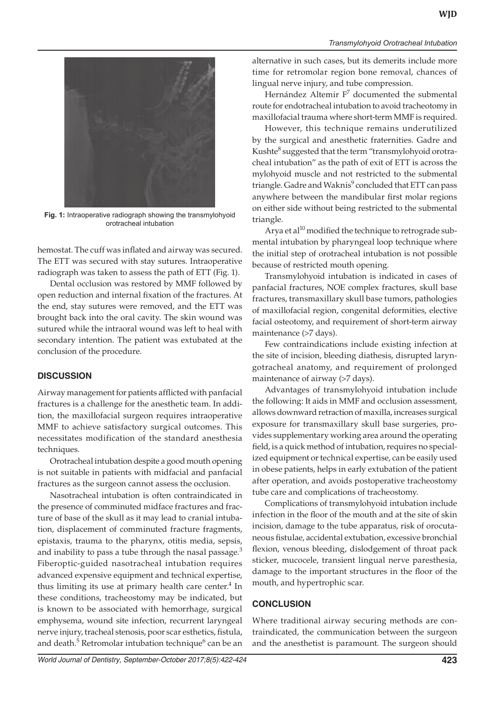

**Fig. 1:** Intraoperative radiograph showing the transmylohyoid orotracheal intubation

hemostat. The cuff was inflated and airway was secured. The ETT was secured with stay sutures. Intraoperative radiograph was taken to assess the path of ETT (Fig. 1).

Dental occlusion was restored by MMF followed by open reduction and internal fixation of the fractures. At the end, stay sutures were removed, and the ETT was brought back into the oral cavity. The skin wound was sutured while the intraoral wound was left to heal with secondary intention. The patient was extubated at the conclusion of the procedure.

### **DISCUSSION**

Airway management for patients afflicted with panfacial fractures is a challenge for the anesthetic team. In addition, the maxillofacial surgeon requires intraoperative MMF to achieve satisfactory surgical outcomes. This necessitates modification of the standard anesthesia techniques.

Orotracheal intubation despite a good mouth opening is not suitable in patients with midfacial and panfacial fractures as the surgeon cannot assess the occlusion.

Nasotracheal intubation is often contraindicated in the presence of comminuted midface fractures and fracture of base of the skull as it may lead to cranial intubation, displacement of comminuted fracture fragments, epistaxis, trauma to the pharynx, otitis media, sepsis, and inability to pass a tube through the nasal passage.<sup>3</sup> Fiberoptic-guided nasotracheal intubation requires advanced expensive equipment and technical expertise, thus limiting its use at primary health care center.<sup>4</sup> In these conditions, tracheostomy may be indicated, but is known to be associated with hemorrhage, surgical emphysema, wound site infection, recurrent laryngeal nerve injury, tracheal stenosis, poor scar esthetics, fistula, and death.<sup>5</sup> Retromolar intubation technique<sup>6</sup> can be an

alternative in such cases, but its demerits include more time for retromolar region bone removal, chances of lingual nerve injury, and tube compression.

Hernández Altemir F<sup>7</sup> documented the submental route for endotracheal intubation to avoid tracheotomy in maxillofacial trauma where short-term MMF is required.

However, this technique remains underutilized by the surgical and anesthetic fraternities. Gadre and Kushte $^8$  suggested that the term "transmylohyoid orotracheal intubation" as the path of exit of ETT is across the mylohyoid muscle and not restricted to the submental triangle. Gadre and Waknis<sup>9</sup> concluded that ETT can pass anywhere between the mandibular first molar regions on either side without being restricted to the submental triangle.

Arya et al $10$  modified the technique to retrograde submental intubation by pharyngeal loop technique where the initial step of orotracheal intubation is not possible because of restricted mouth opening.

Transmylohyoid intubation is indicated in cases of panfacial fractures, NOE complex fractures, skull base fractures, transmaxillary skull base tumors, pathologies of maxillofacial region, congenital deformities, elective facial osteotomy, and requirement of short-term airway maintenance (>7 days).

Few contraindications include existing infection at the site of incision, bleeding diathesis, disrupted laryngotracheal anatomy, and requirement of prolonged maintenance of airway (>7 days).

Advantages of transmylohyoid intubation include the following: It aids in MMF and occlusion assessment, allows downward retraction of maxilla, increases surgical exposure for transmaxillary skull base surgeries, provides supplementary working area around the operating field, is a quick method of intubation, requires no specialized equipment or technical expertise, can be easily used in obese patients, helps in early extubation of the patient after operation, and avoids postoperative tracheostomy tube care and complications of tracheostomy.

Complications of transmylohyoid intubation include infection in the floor of the mouth and at the site of skin incision, damage to the tube apparatus, risk of orocutaneous fistulae, accidental extubation, excessive bronchial flexion, venous bleeding, dislodgement of throat pack sticker, mucocele, transient lingual nerve paresthesia, damage to the important structures in the floor of the mouth, and hypertrophic scar.

### **CONCLUSION**

Where traditional airway securing methods are contraindicated, the communication between the surgeon and the anesthetist is paramount. The surgeon should